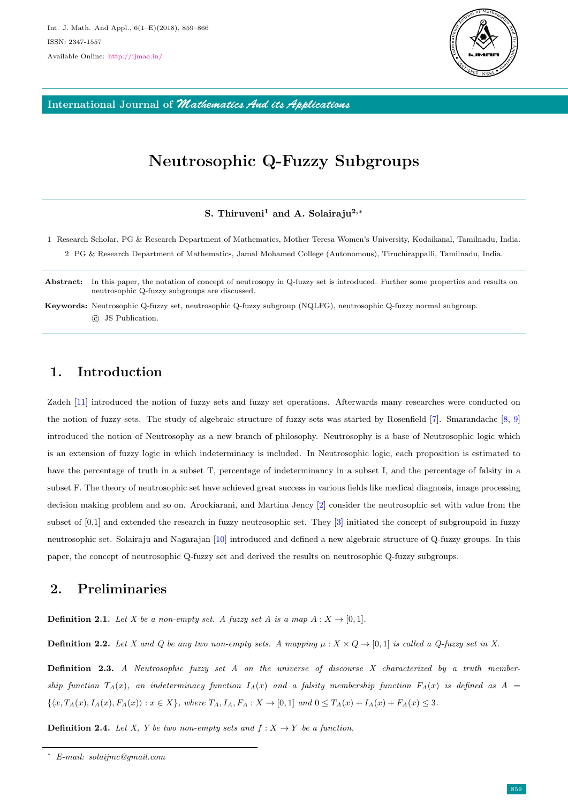

International Journal of *Mathematics And its Applications*

# Neutrosophic Q-Fuzzy Subgroups

#### S. Thiruveni<sup>1</sup> and A. Solairaju<sup>2,∗</sup>

- 1 Research Scholar, PG & Research Department of Mathematics, Mother Teresa Women's University, Kodaikanal, Tamilnadu, India. 2 PG & Research Department of Mathematics, Jamal Mohamed College (Autonomous), Tiruchirappalli, Tamilnadu, India.
- Abstract: In this paper, the notation of concept of neutrosopy in Q-fuzzy set is introduced. Further some properties and results on neutrosophic Q-fuzzy subgroups are discussed.
- Keywords: Neutrosophic Q-fuzzy set, neutrosophic Q-fuzzy subgroup (NQLFG), neutrosophic Q-fuzzy normal subgroup. c JS Publication.

### 1. Introduction

Zadeh [\[11\]](#page-7-0) introduced the notion of fuzzy sets and fuzzy set operations. Afterwards many researches were conducted on the notion of fuzzy sets. The study of algebraic structure of fuzzy sets was started by Rosenfield [\[7\]](#page-7-1). Smarandache [\[8,](#page-7-2) [9\]](#page-7-3) introduced the notion of Neutrosophy as a new branch of philosophy. Neutrosophy is a base of Neutrosophic logic which is an extension of fuzzy logic in which indeterminacy is included. In Neutrosophic logic, each proposition is estimated to have the percentage of truth in a subset T, percentage of indeterminancy in a subset I, and the percentage of falsity in a subset F. The theory of neutrosophic set have achieved great success in various fields like medical diagnosis, image processing decision making problem and so on. Arockiarani, and Martina Jency [\[2\]](#page-7-4) consider the neutrosophic set with value from the subset of [0,1] and extended the research in fuzzy neutrosophic set. They [\[3\]](#page-7-5) initiated the concept of subgroupoid in fuzzy neutrosophic set. Solairaju and Nagarajan [\[10\]](#page-7-6) introduced and defined a new algebraic structure of Q-fuzzy groups. In this paper, the concept of neutrosophic Q-fuzzy set and derived the results on neutrosophic Q-fuzzy subgroups.

#### 2. Preliminaries

**Definition 2.1.** Let X be a non-empty set. A fuzzy set A is a map  $A: X \rightarrow [0,1]$ .

**Definition 2.2.** Let X and Q be any two non-empty sets. A mapping  $\mu : X \times Q \rightarrow [0,1]$  is called a Q-fuzzy set in X.

**Definition 2.3.** A Neutrosophic fuzzy set A on the universe of discourse X characterized by a truth membership function  $T_A(x)$ , an indeterminacy function  $I_A(x)$  and a falsity membership function  $F_A(x)$  is defined as  $A =$  $\{(x, T_A(x), I_A(x), F_A(x)) : x \in X\}$ , where  $T_A, I_A, F_A : X \to [0,1]$  and  $0 \le T_A(x) + I_A(x) + F_A(x) \le 3$ .

**Definition 2.4.** Let X, Y be two non-empty sets and  $f: X \rightarrow Y$  be a function.

<sup>∗</sup> E-mail: solaijmc@gmail.com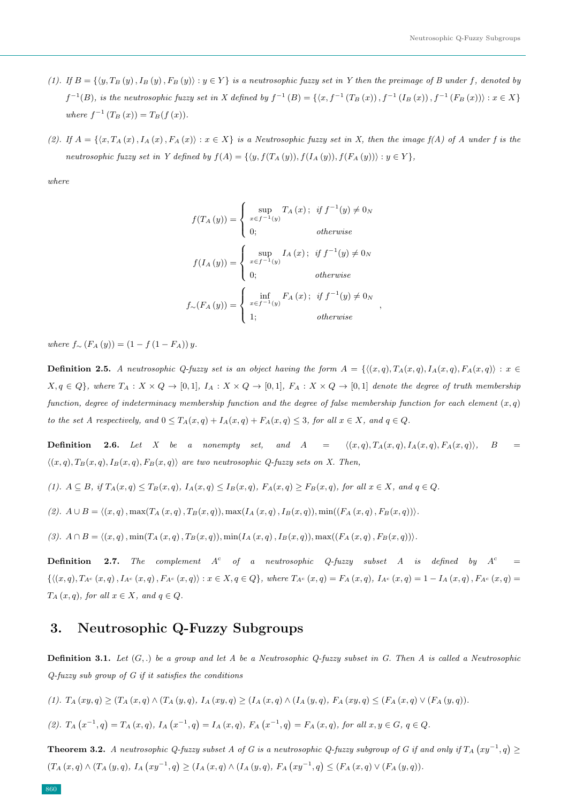- (1). If  $B = \{ \langle y, T_B (y), I_B (y), F_B (y) \rangle : y \in Y \}$  is a neutrosophic fuzzy set in Y then the preimage of B under f, denoted by  $f^{-1}(B)$ , is the neutrosophic fuzzy set in X defined by  $f^{-1}(B) = \{(x, f^{-1}(T_B(x)), f^{-1}(I_B(x)), f^{-1}(F_B(x))): x \in X\}$ where  $f^{-1}(T_B(x)) = T_B(f(x)).$
- (2). If  $A = \{\langle x, T_A(x), I_A(x), F_A(x)\rangle : x \in X\}$  is a Neutrosophic fuzzy set in X, then the image  $f(A)$  of A under f is the neutrosophic fuzzy set in Y defined by  $f(A) = \{ \langle y, f(T_A(y)), f(I_A(y)), f(F_A(y)) \rangle : y \in Y \},\$

where

$$
f(T_A(y)) = \begin{cases} \sup_{x \in f^{-1}(y)} T_A(x); & \text{if } f^{-1}(y) \neq 0_N \\ 0; & \text{otherwise} \end{cases}
$$

$$
f(I_A(y)) = \begin{cases} \sup_{x \in f^{-1}(y)} I_A(x); & \text{if } f^{-1}(y) \neq 0_N \\ 0; & \text{otherwise} \end{cases}
$$

$$
f_{\sim}(F_A(y)) = \begin{cases} \inf_{x \in f^{-1}(y)} F_A(x); & \text{if } f^{-1}(y) \neq 0_N \\ 1; & \text{otherwise} \end{cases}
$$

,

where  $f_{\sim}$  (F<sub>A</sub>(y)) = (1 − f (1 − F<sub>A</sub>)) y.

**Definition 2.5.** A neutrosophic Q-fuzzy set is an object having the form  $A = \{((x, q), T_A(x, q), I_A(x, q), F_A(x, q)) : x \in G\}$  $X, q \in Q$ , where  $T_A: X \times Q \to [0, 1], I_A: X \times Q \to [0, 1], F_A: X \times Q \to [0, 1]$  denote the degree of truth membership function, degree of indeterminacy membership function and the degree of false membership function for each element  $(x, q)$ to the set A respectively, and  $0 \leq T_A(x,q) + I_A(x,q) + F_A(x,q) \leq 3$ , for all  $x \in X$ , and  $q \in Q$ .

**Definition** 2.6. Let X be a nonempty set, and  $A = \langle (x, q), T_A(x, q), I_A(x, q), F_A(x, q) \rangle$ , B  $\langle (x, q), T_B(x, q), I_B(x, q), F_B(x, q) \rangle$  are two neutrosophic Q-fuzzy sets on X. Then,

$$
(1). A \subseteq B, \text{ if } T_A(x,q) \le T_B(x,q), I_A(x,q) \le I_B(x,q), F_A(x,q) \ge F_B(x,q), \text{ for all } x \in X, \text{ and } q \in Q.
$$

$$
(2). A \cup B = \langle (x, q), \max(T_A(x, q), T_B(x, q)), \max(I_A(x, q), I_B(x, q)), \min((F_A(x, q), F_B(x, q)))\rangle.
$$

(3).  $A \cap B = \langle (x, q), \min(T_A(x, q), T_B(x, q)), \min(I_A(x, q), I_B(x, q)), \max((F_A(x, q), F_B(x, q)))\rangle.$ 

**Definition 2.7.** The complement  $A^c$  of a neutrosophic Q-fuzzy subset A is defined by  $A^c$  =  ${\{\langle (x, q), T_{A^c}(x, q), I_{A^c}(x, q), F_{A^c}(x, q) \rangle : x \in X, q \in Q\}}$ , where  $T_{A^c}(x, q) = F_A(x, q)$ ,  $I_{A^c}(x, q) = 1 - I_A(x, q)$ ,  $F_{A^c}(x, q) =$  $T_A(x,q)$ , for all  $x \in X$ , and  $q \in Q$ .

#### 3. Neutrosophic Q-Fuzzy Subgroups

**Definition 3.1.** Let  $(G,.)$  be a group and let A be a Neutrosophic Q-fuzzy subset in G. Then A is called a Neutrosophic  $Q$ -fuzzy sub group of  $G$  if it satisfies the conditions

$$
(1). T_A(xy,q) \ge (T_A(x,q) \wedge (T_A(y,q), I_A(xy,q) \ge (I_A(x,q) \wedge (I_A(y,q), F_A(xy,q) \le (F_A(x,q) \vee (F_A(y,q))).
$$

(2). 
$$
T_A(x^{-1}, q) = T_A(x, q)
$$
,  $I_A(x^{-1}, q) = I_A(x, q)$ ,  $F_A(x^{-1}, q) = F_A(x, q)$ , for all  $x, y \in G$ ,  $q \in Q$ .

**Theorem 3.2.** A neutrosophic Q-fuzzy subset A of G is a neutrosophic Q-fuzzy subgroup of G if and only if  $T_A(xy^{-1},q) \ge$  $(T_A(x,q) \wedge (T_A(y,q), I_A(xy^{-1},q)) \geq (I_A(x,q) \wedge (I_A(y,q), F_A(xy^{-1},q)) \leq (F_A(x,q) \vee (F_A(y,q)).$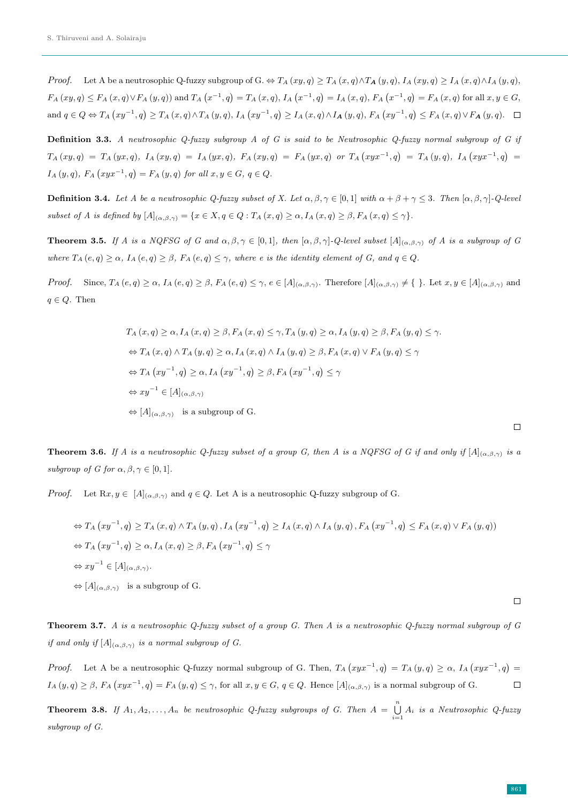*Proof.* Let A be a neutrosophic Q-fuzzy subgroup of G.  $\Leftrightarrow T_A(xy,q) \geq T_A(x,q) \wedge T_A(y,q)$ ,  $I_A(xy,q) \geq I_A(x,q) \wedge I_A(y,q)$ ,  $F_A(xy,q) \le F_A(x,q) \vee F_A(y,q)$  and  $T_A(x^{-1},q) = T_A(x,q)$ ,  $I_A(x^{-1},q) = I_A(x,q)$ ,  $F_A(x^{-1},q) = F_A(x,q)$  for all  $x, y \in G$ , and  $q \in Q \Leftrightarrow T_A(xy^{-1}, q) \ge T_A(x, q) \wedge T_A(y, q)$ ,  $I_A(xy^{-1}, q) \ge I_A(x, q) \wedge I_A(y, q)$ ,  $F_A(xy^{-1}, q) \le F_A(x, q) \vee F_A(y, q)$ .

Definition 3.3. A neutrosophic Q-fuzzy subgroup A of G is said to be Neutrosophic Q-fuzzy normal subgroup of G if  $T_A\,(xy,q)\;=\;T_A\,(yx,q),\;I_A\,(xy,q)\;=\;I_A\,(yx,q),\;F_A\,(xy,q)\;=\;F_A\,(yx,q)\;\;{\it or}\;\;T_A\,(xyx^{-1},q)\;=\;T_A\,(y,q),\;I_A\,(xyx^{-1},q)\;=\;T_A\,(x^{-1},q)\;.$  $I_A(y,q)$ ,  $F_A (xyx^{-1}, q) = F_A (y,q)$  for all  $x, y \in G$ ,  $q \in Q$ .

**Definition 3.4.** Let A be a neutrosophic Q-fuzzy subset of X. Let  $\alpha, \beta, \gamma \in [0, 1]$  with  $\alpha + \beta + \gamma \leq 3$ . Then  $[\alpha, \beta, \gamma]$ -Q-level subset of A is defined by  $[A]_{(\alpha,\beta,\gamma)} = \{x \in X, q \in Q : T_A(x,q) \geq \alpha, I_A(x,q) \geq \beta, F_A(x,q) \leq \gamma\}.$ 

**Theorem 3.5.** If A is a NQFSG of G and  $\alpha, \beta, \gamma \in [0, 1]$ , then  $[\alpha, \beta, \gamma]$ -Q-level subset  $[A]_{(\alpha, \beta, \gamma)}$  of A is a subgroup of G where  $T_A(e,q) \geq \alpha$ ,  $I_A(e,q) \geq \beta$ ,  $F_A(e,q) \leq \gamma$ , where e is the identity element of G, and  $q \in Q$ .

*Proof.* Since,  $T_A(e,q) \geq \alpha$ ,  $I_A(e,q) \geq \beta$ ,  $F_A(e,q) \leq \gamma$ ,  $e \in [A]_{(\alpha,\beta,\gamma)}$ . Therefore  $[A]_{(\alpha,\beta,\gamma)} \neq \{\}\.$  Let  $x, y \in [A]_{(\alpha,\beta,\gamma)}$  and  $q \in Q$ . Then

$$
T_A(x,q) \ge \alpha, I_A(x,q) \ge \beta, F_A(x,q) \le \gamma, T_A(y,q) \ge \alpha, I_A(y,q) \ge \beta, F_A(y,q) \le \gamma.
$$
  
\n
$$
\Leftrightarrow T_A(x,q) \wedge T_A(y,q) \ge \alpha, I_A(x,q) \wedge I_A(y,q) \ge \beta, F_A(x,q) \vee F_A(y,q) \le \gamma
$$
  
\n
$$
\Leftrightarrow T_A(xy^{-1},q) \ge \alpha, I_A(xy^{-1},q) \ge \beta, F_A(xy^{-1},q) \le \gamma
$$
  
\n
$$
\Leftrightarrow xy^{-1} \in [A]_{(\alpha,\beta,\gamma)}
$$
  
\n
$$
\Leftrightarrow [A]_{(\alpha,\beta,\gamma)}
$$
 is a subgroup of G.

**Theorem 3.6.** If A is a neutrosophic Q-fuzzy subset of a group G, then A is a NQFSG of G if and only if  $[A]_{(\alpha,\beta,\gamma)}$  is a subgroup of G for  $\alpha, \beta, \gamma \in [0, 1]$ .

*Proof.* Let  $Rx, y \in [A]_{(\alpha, \beta, \gamma)}$  and  $q \in Q$ . Let A is a neutrosophic Q-fuzzy subgroup of G.

$$
\Leftrightarrow T_A (xy^{-1}, q) \ge T_A (x, q) \wedge T_A (y, q), I_A (xy^{-1}, q) \ge I_A (x, q) \wedge I_A (y, q), F_A (xy^{-1}, q) \le F_A (x, q) \vee F_A (y, q))
$$
  
\n
$$
\Leftrightarrow T_A (xy^{-1}, q) \ge \alpha, I_A (x, q) \ge \beta, F_A (xy^{-1}, q) \le \gamma
$$
  
\n
$$
\Leftrightarrow xy^{-1} \in [A]_{(\alpha, \beta, \gamma)}.
$$
  
\n
$$
\Leftrightarrow [A]_{(\alpha, \beta, \gamma)}
$$
 is a subgroup of G.

Theorem 3.7. A is a neutrosophic Q-fuzzy subset of a group G. Then A is a neutrosophic Q-fuzzy normal subgroup of G if and only if  $[A]_{(\alpha,\beta,\gamma)}$  is a normal subgroup of G.

*Proof.* Let A be a neutrosophic Q-fuzzy normal subgroup of G. Then,  $T_A (xyx^{-1}, q) = T_A (y, q) \ge \alpha$ ,  $I_A (xyx^{-1}, q) =$  $I_A(y,q) \geq \beta$ ,  $F_A(xyx^{-1},q) = F_A(y,q) \leq \gamma$ , for all  $x, y \in G$ ,  $q \in Q$ . Hence  $[A]_{(\alpha,\beta,\gamma)}$  is a normal subgroup of G.  $\Box$ 

**Theorem 3.8.** If  $A_1, A_2, ..., A_n$  be neutrosophic Q-fuzzy subgroups of G. Then  $A = \bigcup_{i=1}^n A_i$  is a Neutrosophic Q-fuzzy subgroup of G.

 $\Box$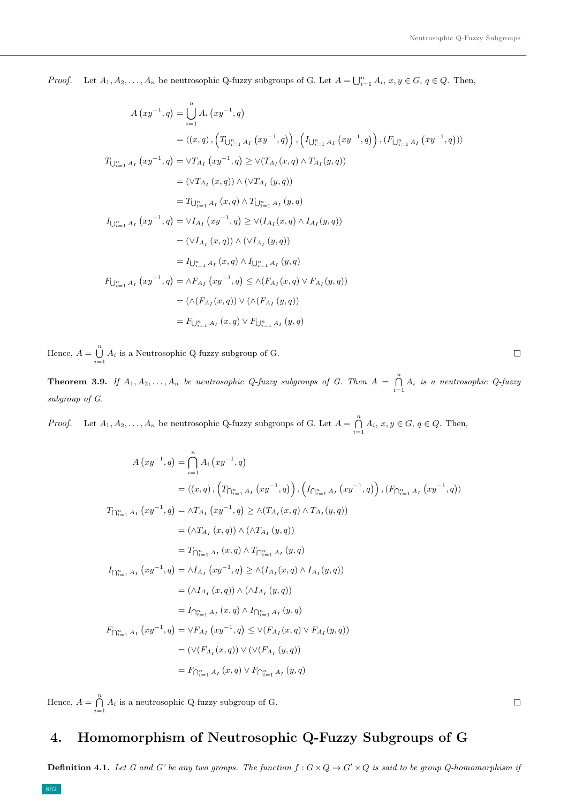$\Box$ 

 $\Box$ 

*Proof.* Let  $A_1, A_2, \ldots, A_n$  be neutrosophic Q-fuzzy subgroups of G. Let  $A = \bigcup_{i=1}^n A_i, x, y \in G, q \in Q$ . Then,

$$
A (xy^{-1}, q) = \bigcup_{i=1}^{n} A_i (xy^{-1}, q)
$$
  
\n
$$
= \langle (x, q), (T_{\bigcup_{i=1}^{n} A_i} (xy^{-1}, q)), (I_{\bigcup_{i=1}^{n} A_i} (xy^{-1}, q)), (F_{\bigcup_{i=1}^{n} A_i} (xy^{-1}, q)) \rangle
$$
  
\n
$$
T_{\bigcup_{i=1}^{n} A_i} (xy^{-1}, q) = \vee T_{A_i} (xy^{-1}, q) \ge \vee (T_{A_i} (x, q) \wedge T_{A_i} (y, q))
$$
  
\n
$$
= (\vee T_{A_i} (x, q)) \wedge (\vee T_{A_i} (y, q))
$$
  
\n
$$
= T_{\bigcup_{i=1}^{n} A_i} (x, q) \wedge T_{\bigcup_{i=1}^{n} A_i} (y, q)
$$
  
\n
$$
I_{\bigcup_{i=1}^{n} A_i} (xy^{-1}, q) = \vee I_{A_i} (xy^{-1}, q) \ge \vee (I_{A_i} (x, q) \wedge I_{A_i} (y, q))
$$
  
\n
$$
= (\vee I_{A_i} (x, q)) \wedge (\vee I_{A_i} (y, q))
$$
  
\n
$$
= I_{\bigcup_{i=1}^{n} A_i} (x, q) \wedge I_{\bigcup_{i=1}^{n} A_i} (y, q)
$$
  
\n
$$
F_{\bigcup_{i=1}^{n} A_i} (xy^{-1}, q) = \wedge F_{A_i} (xy^{-1}, q) \le \wedge (F_{A_i} (x, q) \vee F_{A_i} (y, q))
$$
  
\n
$$
= (\wedge (F_{A_i} (x, q)) \vee (\wedge (F_{A_i} (y, q))
$$
  
\n
$$
= F_{\bigcup_{i=1}^{n} A_i} (x, q) \vee F_{\bigcup_{i=1}^{n} A_i} (y, q)
$$

Hence,  $A = \bigcup_{i=1}^{n} A_i$  is a Neutrosophic Q-fuzzy subgroup of G.

**Theorem 3.9.** If  $A_1, A_2, ..., A_n$  be neutrosophic Q-fuzzy subgroups of G. Then  $A = \bigcap_{i=1}^n A_i$  is a neutrosophic Q-fuzzy subgroup of G.

*Proof.* Let  $A_1, A_2, ..., A_n$  be neutrosophic Q-fuzzy subgroups of G. Let  $A = \bigcap_{i=1}^n A_i, x, y \in G, q \in Q$ . Then,

$$
A (xy^{-1}, q) = \bigcap_{i=1}^{n} A_i (xy^{-1}, q)
$$
  
\n
$$
= \langle (x, q), (T_{\bigcap_{i=1}^{n} A_I} (xy^{-1}, q)), (I_{\bigcap_{i=1}^{n} A_I} (xy^{-1}, q)), (F_{\bigcap_{i=1}^{n} A_I} (xy^{-1}, q)) \rangle
$$
  
\n
$$
T_{\bigcap_{i=1}^{n} A_I} (xy^{-1}, q) = \wedge T_{A_I} (xy^{-1}, q) \ge \wedge (T_{A_I} (x, q) \wedge T_{A_I} (y, q))
$$
  
\n
$$
= (\wedge T_{A_I} (x, q)) \wedge (\wedge T_{A_I} (y, q))
$$
  
\n
$$
= T_{\bigcap_{i=1}^{n} A_I} (x, q) \wedge T_{\bigcap_{i=1}^{n} A_I} (y, q)
$$
  
\n
$$
I_{\bigcap_{i=1}^{n} A_I} (xy^{-1}, q) = \wedge I_{A_I} (xy^{-1}, q) \ge \wedge (I_{A_I} (x, q) \wedge I_{A_I} (y, q))
$$
  
\n
$$
= (\wedge I_{A_I} (x, q)) \wedge (\wedge I_{A_I} (y, q))
$$
  
\n
$$
= I_{\bigcap_{i=1}^{n} A_I} (x, q) \wedge I_{\bigcap_{i=1}^{n} A_I} (y, q)
$$
  
\n
$$
F_{\bigcap_{i=1}^{n} A_I} (xy^{-1}, q) = \vee F_{A_I} (xy^{-1}, q) \le \vee (F_{A_I} (x, q) \vee F_{A_I} (y, q))
$$
  
\n
$$
= (\vee (F_{A_I} (x, q)) \vee (\vee (F_{A_I} (y, q))
$$
  
\n
$$
= F_{\bigcap_{i=1}^{n} A_I} (x, q) \vee F_{\bigcap_{i=1}^{n} A_I} (y, q)
$$

Hence,  $A = \bigcap_{i=1}^{n} A_i$  is a neutrosophic Q-fuzzy subgroup of G.

## 4. Homomorphism of Neutrosophic Q-Fuzzy Subgroups of G

**Definition 4.1.** Let G and G' be any two groups. The function  $f: G \times Q \to G' \times Q$  is said to be group Q-homomorphism is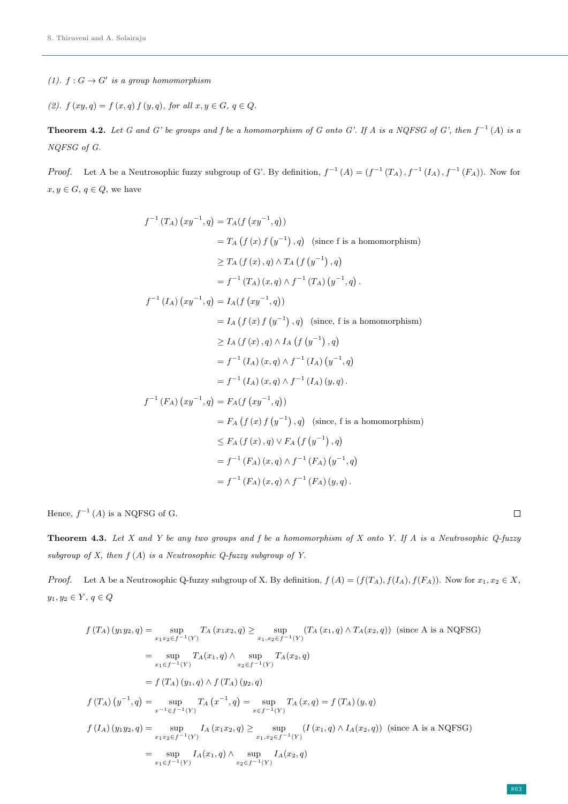- (1).  $f: G \to G'$  is a group homomorphism
- (2).  $f(xy, q) = f(x, q) f(y, q)$ , for all  $x, y \in G$ ,  $q \in Q$ .

**Theorem 4.2.** Let G and G' be groups and f be a homomorphism of G onto G'. If A is a NQFSG of G', then  $f^{-1}(A)$  is a NQFSG of G.

*Proof.* Let A be a Neutrosophic fuzzy subgroup of G'. By definition,  $f^{-1}(A) = (f^{-1}(T_A), f^{-1}(I_A), f^{-1}(F_A))$ . Now for  $x, y \in G, q \in Q$ , we have

$$
f^{-1}(T_A) (xy^{-1}, q) = T_A(f (xy^{-1}, q))
$$
  
\n
$$
= T_A (f (x) f (y^{-1}), q) \text{ (since f is a homomorphism)}
$$
  
\n
$$
\geq T_A (f (x), q) \wedge T_A (f (y^{-1}), q)
$$
  
\n
$$
= f^{-1}(T_A) (x, q) \wedge f^{-1}(T_A) (y^{-1}, q).
$$
  
\n
$$
f^{-1}(I_A) (xy^{-1}, q) = I_A(f (xy^{-1}, q))
$$
  
\n
$$
= I_A (f (x) f (y^{-1}), q) \text{ (since, f is a homomorphism)}
$$
  
\n
$$
\geq I_A (f (x), q) \wedge I_A (f (y^{-1}), q)
$$
  
\n
$$
= f^{-1}(I_A) (x, q) \wedge f^{-1}(I_A) (y^{-1}, q)
$$
  
\n
$$
= f^{-1}(I_A) (x, q) \wedge f^{-1}(I_A) (y, q).
$$
  
\n
$$
f^{-1}(F_A) (xy^{-1}, q) = F_A(f (xy^{-1}, q))
$$
  
\n
$$
= F_A (f (x) f (y^{-1}), q) \text{ (since, f is a homomorphism)}
$$
  
\n
$$
\leq F_A (f (x), q) \vee F_A (f (y^{-1}), q)
$$
  
\n
$$
= f^{-1}(F_A) (x, q) \wedge f^{-1}(F_A) (y^{-1}, q)
$$
  
\n
$$
= f^{-1}(F_A) (x, q) \wedge f^{-1}(F_A) (y, q).
$$

Hence,  $f^{-1}(A)$  is a NQFSG of G.

**Theorem 4.3.** Let X and Y be any two groups and f be a homomorphism of X onto Y. If A is a Neutrosophic  $Q$ -fuzzy subgroup of X, then  $f(A)$  is a Neutrosophic Q-fuzzy subgroup of Y.

*Proof.* Let A be a Neutrosophic Q-fuzzy subgroup of X. By definition,  $f(A) = (f(T_A), f(I_A), f(F_A))$ . Now for  $x_1, x_2 \in X$ ,  $y_1, y_2 \in Y, q \in Q$ 

$$
f(T_A)(y_1y_2, q) = \sup_{x_1x_2 \in f^{-1}(Y)} T_A(x_1x_2, q) \ge \sup_{x_1, x_2 \in f^{-1}(Y)} (T_A(x_1, q) \wedge T_A(x_2, q)) \text{ (since A is a NQFSG)}
$$
  
\n
$$
= \sup_{x_1 \in f^{-1}(Y)} T_A(x_1, q) \wedge \sup_{x_2 \in f^{-1}(Y)} T_A(x_2, q)
$$
  
\n
$$
= f(T_A)(y_1, q) \wedge f(T_A)(y_2, q)
$$
  
\n
$$
f(T_A)(y^{-1}, q) = \sup_{x^{-1} \in f^{-1}(Y)} T_A(x^{-1}, q) = \sup_{x \in f^{-1}(Y)} T_A(x, q) = f(T_A)(y, q)
$$
  
\n
$$
f(I_A)(y_1y_2, q) = \sup_{x_1x_2 \in f^{-1}(Y)} I_A(x_1x_2, q) \ge \sup_{x_1, x_2 \in f^{-1}(Y)} (I(x_1, q) \wedge I_A(x_2, q)) \text{ (since A is a NQFSG)}
$$
  
\n
$$
= \sup_{x_1 \in f^{-1}(Y)} I_A(x_1, q) \wedge \sup_{x_2 \in f^{-1}(Y)} I_A(x_2, q)
$$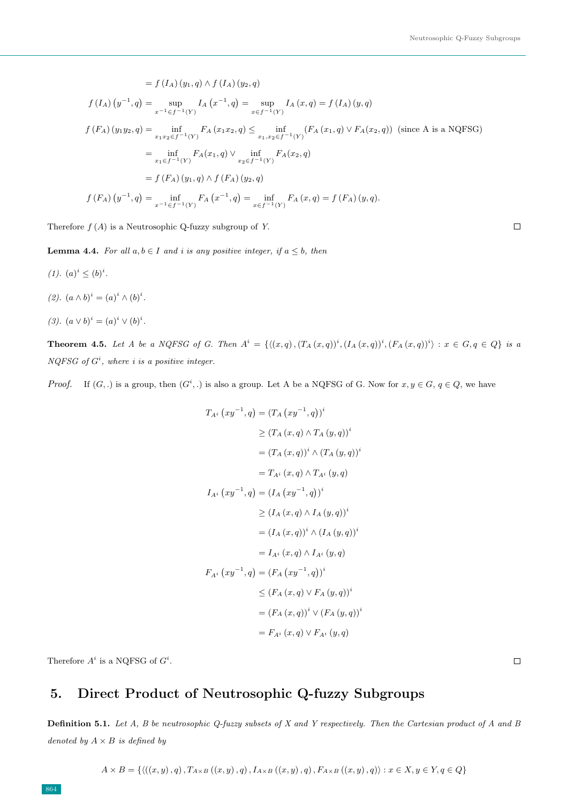$$
= f(I_A) (y_1, q) \wedge f(I_A) (y_2, q)
$$
  
\n
$$
f(I_A) (y^{-1}, q) = \sup_{x^{-1} \in f^{-1}(Y)} I_A (x^{-1}, q) = \sup_{x \in f^{-1}(Y)} I_A (x, q) = f(I_A) (y, q)
$$
  
\n
$$
f(F_A) (y_1 y_2, q) = \inf_{x_1 x_2 \in f^{-1}(Y)} F_A (x_1 x_2, q) \le \inf_{x_1, x_2 \in f^{-1}(Y)} (F_A (x_1, q) \vee F_A (x_2, q)) \text{ (since A is a NQFSG)}
$$
  
\n
$$
= \inf_{x_1 \in f^{-1}(Y)} F_A(x_1, q) \vee \inf_{x_2 \in f^{-1}(Y)} F_A(x_2, q)
$$
  
\n
$$
= f(F_A) (y_1, q) \wedge f(F_A) (y_2, q)
$$
  
\n
$$
f(F_A) (y^{-1}, q) = \inf_{x^{-1} \in f^{-1}(Y)} F_A (x^{-1}, q) = \inf_{x \in f^{-1}(Y)} F_A (x, q) = f(F_A) (y, q).
$$

Therefore  $f(A)$  is a Neutrosophic Q-fuzzy subgroup of Y.

**Lemma 4.4.** For all  $a, b \in I$  and i is any positive integer, if  $a \leq b$ , then

- $(1). (a)^i \leq (b)^i.$
- $(2). (a \wedge b)^i = (a)^i \wedge (b)^i.$
- (3).  $(a \vee b)^i = (a)^i \vee (b)^i$ .

**Theorem 4.5.** Let A be a NQFSG of G. Then  $A^i = \{((x,q), (T_A(x,q))^i, (I_A(x,q))^i, (F_A(x,q))^i) : x \in G, q \in Q\}$  is a  $NQFSG$  of  $G<sup>i</sup>$ , where i is a positive integer.

*Proof.* If  $(G,.)$  is a group, then  $(G^i,.)$  is also a group. Let A be a NQFSG of G. Now for  $x, y \in G$ ,  $q \in Q$ , we have

$$
T_{A^{i}} (xy^{-1}, q) = (T_{A} (xy^{-1}, q))^{i}
$$
  
\n
$$
\geq (T_{A} (x, q) \wedge T_{A} (y, q))^{i}
$$
  
\n
$$
= (T_{A} (x, q))^{i} \wedge (T_{A} (y, q))^{i}
$$
  
\n
$$
= T_{A^{i}} (x, q) \wedge T_{A^{i}} (y, q)
$$
  
\n
$$
I_{A^{i}} (xy^{-1}, q) = (I_{A} (xy^{-1}, q))^{i}
$$
  
\n
$$
\geq (I_{A} (x, q) \wedge I_{A} (y, q))^{i}
$$
  
\n
$$
= (I_{A} (x, q))^{i} \wedge (I_{A} (y, q))^{i}
$$
  
\n
$$
= I_{A^{i}} (x, q) \wedge I_{A^{i}} (y, q)
$$
  
\n
$$
F_{A^{i}} (xy^{-1}, q) = (F_{A} (xy^{-1}, q))^{i}
$$
  
\n
$$
\leq (F_{A} (x, q) \vee F_{A} (y, q))^{i}
$$
  
\n
$$
= (F_{A} (x, q))^{i} \vee (F_{A} (y, q))^{i}
$$
  
\n
$$
= F_{A^{i}} (x, q) \vee F_{A^{i}} (y, q)
$$

Therefore  $A^i$  is a NQFSG of  $G^i$ .

## 5. Direct Product of Neutrosophic Q-fuzzy Subgroups

**Definition 5.1.** Let  $A$ ,  $B$  be neutrosophic  $Q$ -fuzzy subsets of  $X$  and  $Y$  respectively. Then the Cartesian product of  $A$  and  $B$ denoted by  $A \times B$  is defined by

 $A \times B = \{ \langle ((x, y), q), T_{A \times B} ((x, y), q), I_{A \times B} ((x, y), q), F_{A \times B} ((x, y), q) \rangle : x \in X, y \in Y, q \in Q \}$ 

 $\Box$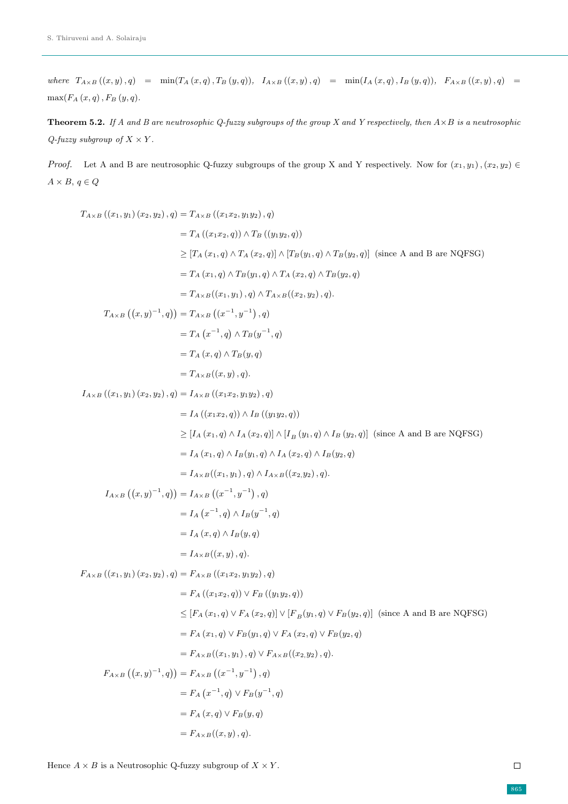where  $T_{A\times B}((x, y), q) = \min(T_A(x, q), T_B(y, q)), I_{A\times B}((x, y), q) = \min(I_A(x, q), I_B(y, q)), F_{A\times B}((x, y), q) =$  $\max(F_A(x,q)\,,F_B\left(y,q\right)\text{.}$ 

**Theorem 5.2.** If A and B are neutrosophic Q-fuzzy subgroups of the group X and Y respectively, then  $A \times B$  is a neutrosophic  $Q$ -fuzzy subgroup of  $X \times Y$ .

*Proof.* Let A and B are neutrosophic Q-fuzzy subgroups of the group X and Y respectively. Now for  $(x_1, y_1), (x_2, y_2) \in$  $A \times B, q \in Q$ 

$$
T_{A \times B} ((x_1, y_1) (x_2, y_2), q) = T_{A \times B} ((x_1x_2, y_1y_2), q)
$$
  
\t
$$
= T_A ((x_1x_2, q)) \wedge T_B ((y_1y_2, q))
$$
  
\t
$$
\geq [T_A (x_1, q) \wedge T_A (x_2, q)] \wedge [T_B(y_1, q) \wedge T_B(y_2, q)] \text{ (since A and B are NQFSG)}
$$
  
\t
$$
= T_A (x_1, q) \wedge T_B(y_1, q) \wedge T_A (x_2, q) \wedge T_B(y_2, q)
$$
  
\t
$$
= T_{A \times B} ((x_1, y_1), q) \wedge T_{A \times B} ((x_2, y_2), q).
$$
  
\t
$$
T_{A \times B} ((x, y)^{-1}, q)) = T_{A \times B} ((x^{-1}, y^{-1}), q)
$$
  
\t
$$
= T_A (x, q) \wedge T_B(y, q)
$$
  
\t
$$
= T_A (x, q) \wedge T_B(y, q)
$$
  
\t
$$
= T_{A \times B} ((x_1, y_1), q).
$$
  
\t
$$
I_A (x_1, y_1) (x_2, y_2), q) = I_{A \times B} ((x_1x_2, y_1y_2), q)
$$
  
\t
$$
= I_A ((x_1x_2, q)) \wedge I_B ((y_1y_2, q))
$$
  
\t
$$
= I_A (x_1, q) \wedge I_B (y_1, q) \wedge I_B (y_2, q) \wedge I_B (y_2, q)
$$
  
\t
$$
= I_A (x_1, q) \wedge I_B(y_1, q) \wedge I_A (x_2, q) \wedge I_B (y_2, q)
$$
  
\t
$$
= I_A (x_1, q) \wedge I_B(y_1, q) \wedge I_A (x_2, q) \wedge I_B (y_2, q)
$$
  
\t
$$
= I_{A \times B} ((x_1, y_1), q) \wedge I_A (x_2, q) \wedge I_B (y_2, q)
$$
  
\t
$$
= I_{A \times B} ((x_1, y_1), q) \wedge I_A
$$

Hence  $A\times B$  is a Neutrosophic Q-fuzzy subgroup of  $X\times Y.$